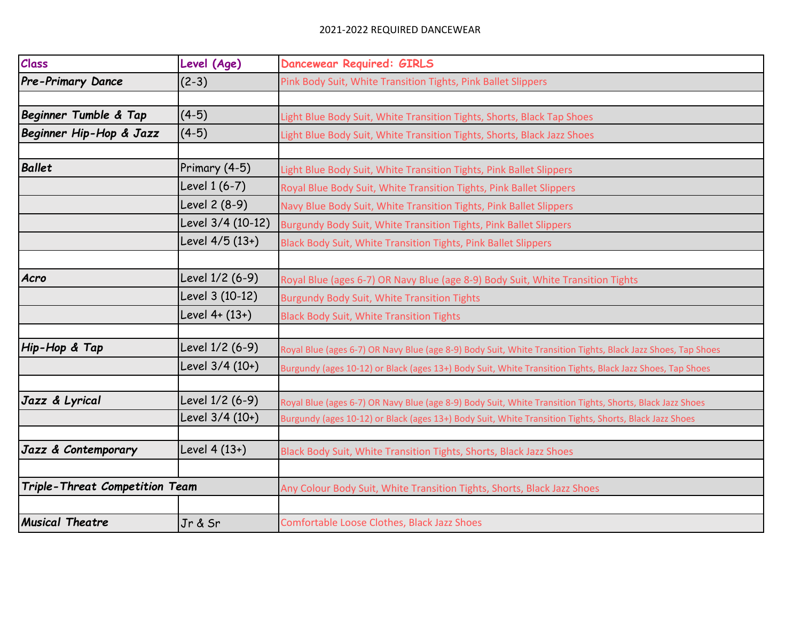## 2021-2022 REQUIRED DANCEWEAR

| Class                          | Level (Age)       | <b>Dancewear Required: GIRLS</b>                                                                             |
|--------------------------------|-------------------|--------------------------------------------------------------------------------------------------------------|
| <b>Pre-Primary Dance</b>       | $(2-3)$           | Pink Body Suit, White Transition Tights, Pink Ballet Slippers                                                |
|                                |                   |                                                                                                              |
| Beginner Tumble & Tap          | $(4-5)$           | Light Blue Body Suit, White Transition Tights, Shorts, Black Tap Shoes                                       |
| Beginner Hip-Hop & Jazz        | $(4-5)$           | Light Blue Body Suit, White Transition Tights, Shorts, Black Jazz Shoes                                      |
|                                |                   |                                                                                                              |
| <b>Ballet</b>                  | Primary (4-5)     | Light Blue Body Suit, White Transition Tights, Pink Ballet Slippers                                          |
|                                | Level 1 (6-7)     | Royal Blue Body Suit, White Transition Tights, Pink Ballet Slippers                                          |
|                                | Level 2 (8-9)     | Navy Blue Body Suit, White Transition Tights, Pink Ballet Slippers                                           |
|                                | Level 3/4 (10-12) | Burgundy Body Suit, White Transition Tights, Pink Ballet Slippers                                            |
|                                | Level 4/5 (13+)   | Black Body Suit, White Transition Tights, Pink Ballet Slippers                                               |
|                                |                   |                                                                                                              |
| Acro                           | Level 1/2 (6-9)   | Royal Blue (ages 6-7) OR Navy Blue (age 8-9) Body Suit, White Transition Tights                              |
|                                | Level 3 (10-12)   | <b>Burgundy Body Suit, White Transition Tights</b>                                                           |
|                                | Level 4+ (13+)    | <b>Black Body Suit, White Transition Tights</b>                                                              |
|                                |                   |                                                                                                              |
| Hip-Hop & Tap                  | Level 1/2 (6-9)   | Royal Blue (ages 6-7) OR Navy Blue (age 8-9) Body Suit, White Transition Tights, Black Jazz Shoes, Tap Shoes |
|                                | Level 3/4 (10+)   | Burgundy (ages 10-12) or Black (ages 13+) Body Suit, White Transition Tights, Black Jazz Shoes, Tap Shoes    |
|                                |                   |                                                                                                              |
| Jazz & Lyrical                 | Level 1/2 (6-9)   | Royal Blue (ages 6-7) OR Navy Blue (age 8-9) Body Suit, White Transition Tights, Shorts, Black Jazz Shoes    |
|                                | Level 3/4 (10+)   | Burgundy (ages 10-12) or Black (ages 13+) Body Suit, White Transition Tights, Shorts, Black Jazz Shoes       |
|                                |                   |                                                                                                              |
| Jazz & Contemporary            | Level 4 (13+)     | Black Body Suit, White Transition Tights, Shorts, Black Jazz Shoes                                           |
|                                |                   |                                                                                                              |
| Triple-Threat Competition Team |                   | Any Colour Body Suit, White Transition Tights, Shorts, Black Jazz Shoes                                      |
|                                |                   |                                                                                                              |
| <b>Musical Theatre</b>         | Jr & Sr           | Comfortable Loose Clothes, Black Jazz Shoes                                                                  |